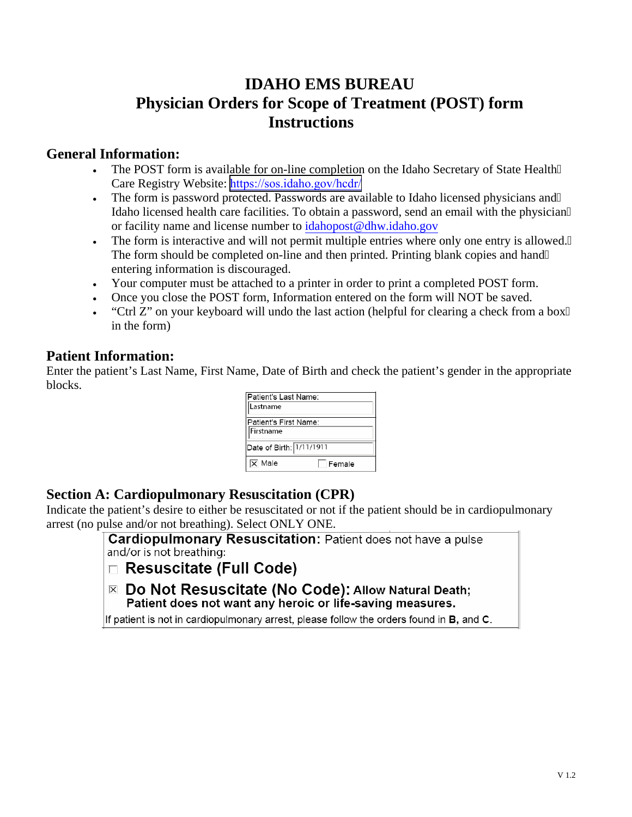# **IDAHO EMS BUREAU Physician Orders for Scope of Treatment (POST) form Instructions**

#### **General Information:**

- The POST form is available for on-line completion on the Idaho Secretary of State Health" Care Registry Website: <https://sos.idaho.gov/hcdr/>
- The form is password protected. Passwords are available to Idaho licensed physicians and" Idaho licensed health care facilities. To obtain a password, send an email with the physician or facility name and license number to idahopost@dhw.idaho.gov
- The form is interactive and will not permit multiple entries where only one entry is allowed." The form should be completed on-line and then printed. Printing blank copies and hand" entering information is discouraged.
- Your computer must be attached to a printer in order to print a completed POST form.
- Once you close the POST form, Information entered on the form will NOT be saved.
- "Ctrl Z" on your keyboard will undo the last action (helpful for clearing a check from a box in the form)

## **Patient Information:**

Enter the patient's Last Name, First Name, Date of Birth and check the patient's gender in the appropriate blocks.

| Patient's Last Name:     |        |  |
|--------------------------|--------|--|
| Lastname                 |        |  |
| Patient's First Name:    |        |  |
| Firstname                |        |  |
| Date of Birth: 1/11/1911 |        |  |
| Male                     | Female |  |

## **Section A: Cardiopulmonary Resuscitation (CPR)**

Indicate the patient's desire to either be resuscitated or not if the patient should be in cardiopulmonary arrest (no pulse and/or not breathing). Select ONLY ONE.

> **Cardiopulmonary Resuscitation: Patient does not have a pulse** and/or is not breathing:

- $\Box$  Resuscitate (Full Code)
- $\overline{\mathbb{Z}}$  Do Not Resuscitate (No Code): Allow Natural Death; Patient does not want any heroic or life-saving measures.

If patient is not in cardiopulmonary arrest, please follow the orders found in B, and C.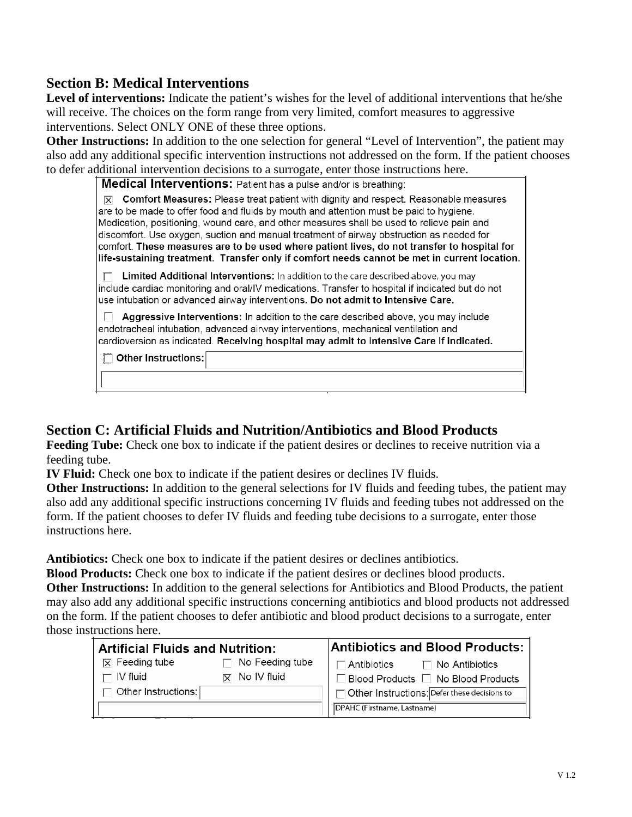## **Section B: Medical Interventions**

Level of interventions: Indicate the patient's wishes for the level of additional interventions that he/she will receive. The choices on the form range from very limited, comfort measures to aggressive interventions. Select ONLY ONE of these three options.

**Other Instructions:** In addition to the one selection for general "Level of Intervention", the patient may also add any additional specific intervention instructions not addressed on the form. If the patient chooses to defer additional intervention decisions to a surrogate, enter those instructions here.

| Medical Interventions: Patient has a pulse and/or is breathing: |  |  |
|-----------------------------------------------------------------|--|--|
|                                                                 |  |  |

 $\overline{\mathbb{X}}$  Comfort Measures: Please treat patient with dignity and respect. Reasonable measures are to be made to offer food and fluids by mouth and attention must be paid to hygiene. Medication, positioning, wound care, and other measures shall be used to relieve pain and discomfort. Use oxygen, suction and manual treatment of airway obstruction as needed for comfort. These measures are to be used where patient lives, do not transfer to hospital for life-sustaining treatment. Transfer only if comfort needs cannot be met in current location.

 $\Box$  Limited Additional Interventions: In addition to the care described above, you may include cardiac monitoring and oral/IV medications. Transfer to hospital if indicated but do not use intubation or advanced airway interventions. Do not admit to Intensive Care.

Aggressive Interventions: In addition to the care described above, you may include endotracheal intubation, advanced airway interventions, mechanical ventilation and cardioversion as indicated. Receiving hospital may admit to Intensive Care if indicated.

Other Instructions:

## **Section C: Artificial Fluids and Nutrition/Antibiotics and Blood Products**

**Feeding Tube:** Check one box to indicate if the patient desires or declines to receive nutrition via a feeding tube.

**IV Fluid:** Check one box to indicate if the patient desires or declines IV fluids.

**Other Instructions:** In addition to the general selections for IV fluids and feeding tubes, the patient may also add any additional specific instructions concerning IV fluids and feeding tubes not addressed on the form. If the patient chooses to defer IV fluids and feeding tube decisions to a surrogate, enter those instructions here.

**Antibiotics:** Check one box to indicate if the patient desires or declines antibiotics.

**Blood Products:** Check one box to indicate if the patient desires or declines blood products.

**Other Instructions:** In addition to the general selections for Antibiotics and Blood Products, the patient may also add any additional specific instructions concerning antibiotics and blood products not addressed on the form. If the patient chooses to defer antibiotic and blood product decisions to a surrogate, enter those instructions here.

| <b>Artificial Fluids and Nutrition:</b> |                            | <b>Antibiotics and Blood Products:</b>                                       |  |
|-----------------------------------------|----------------------------|------------------------------------------------------------------------------|--|
| $\mathbf{\nabla}$ Feeding tube          | $\Box$ No Feeding tube     | $\overline{\phantom{a}}$ Antibiotics $\overline{\phantom{a}}$ No Antibiotics |  |
| $\Box$ IV fluid                         | $\overline{X}$ No IV fluid | $\Box$ Blood Products $\Box$ No Blood Products                               |  |
| $\Box$ Other Instructions:              |                            | Other Instructions: Defer these decisions to                                 |  |
|                                         |                            | DPAHC (Firstname, Lastname)                                                  |  |